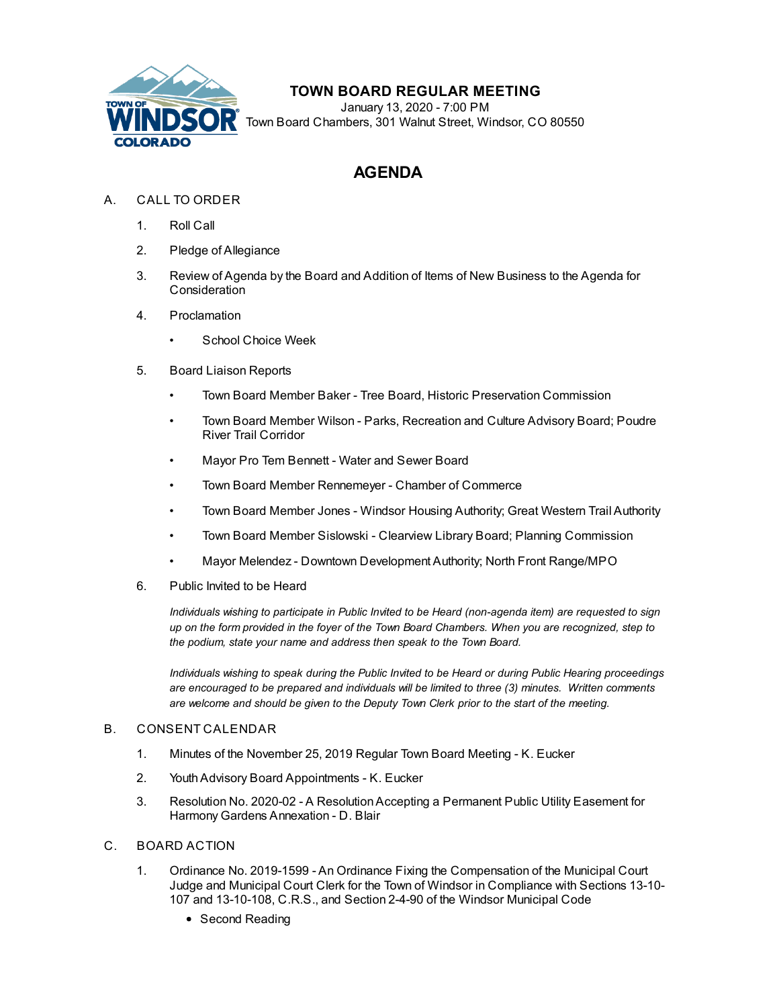

# **TOWN BOARD REGULAR MEETING**

January 13, 2020 - 7:00 PM Town Board Chambers, 301 Walnut Street, Windsor, CO 80550

# **AGENDA**

- A. CALL TO ORDER
	- 1. Roll Call
	- 2. Pledge of Allegiance
	- 3. Review of Agenda by the Board and Addition of Items of New Business to the Agenda for **Consideration**
	- 4. Proclamation
		- [School Choice Week](file:///C:/Windows/TEMP/CoverSheet.aspx?ItemID=606&MeetingID=120)
	- 5. Board Liaison Reports
		- Town Board Member Baker Tree Board, Historic Preservation Commission
		- Town Board Member Wilson Parks, Recreation and Culture Advisory Board; Poudre River Trail Corridor
		- Mayor Pro Tem Bennett Water and Sewer Board
		- Town Board Member Rennemeyer Chamber of Commerce
		- Town Board Member Jones Windsor Housing Authority; Great Western Trail Authority
		- Town Board Member Sislowski Clearview Library Board; Planning Commission
		- Mayor Melendez Downtown Development Authority; North Front Range/MPO
	- 6. Public Invited to be Heard

*Individuals wishing to participate in Public Invited to be Heard (non-agenda item) are requested to sign up on the form provided in the foyer of the Town Board Chambers. When you are recognized, step to the podium, state your name and address then speak to the Town Board.*

*Individuals wishing to speak during the Public Invited to be Heard or during Public Hearing proceedings are encouraged to be prepared and individuals will be limited to three (3) minutes. Written comments are welcome and should be given to the Deputy Town Clerk prior to the start of the meeting.*

## B. CONSENT CALENDAR

- 1. [Minutes of the November 25, 2019 Regular Town Board Meeting K. Eucker](file:///C:/Windows/TEMP/CoverSheet.aspx?ItemID=686&MeetingID=120)
- 2. [Youth Advisory Board Appointments K. Eucker](file:///C:/Windows/TEMP/CoverSheet.aspx?ItemID=680&MeetingID=120)
- 3. [Resolution No. 2020-02 A Resolution Accepting a Permanent Public Utility Easement for](file:///C:/Windows/TEMP/CoverSheet.aspx?ItemID=698&MeetingID=120) Harmony Gardens Annexation - D. Blair
- C. BOARD ACTION
	- 1. Ordinance No. 2019-1599 An Ordinance Fixing the Compensation of the Municipal Court [Judge and Municipal Court Clerk for the Town of Windsor in Compliance with Sections 13-10-](file:///C:/Windows/TEMP/CoverSheet.aspx?ItemID=683&MeetingID=120) 107 and 13-10-108, C.R.S., and Section 2-4-90 of the Windsor Municipal Code
		- Second Reading